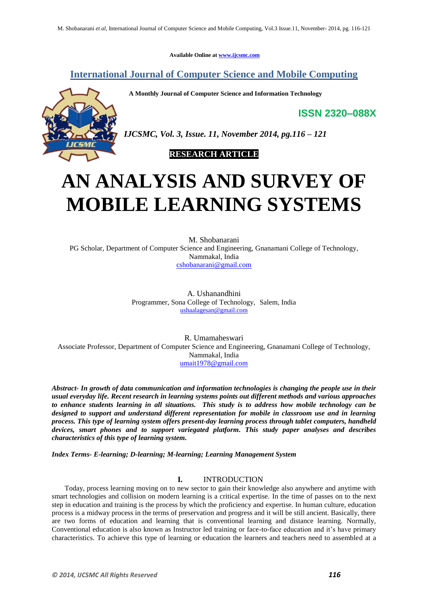**Available Online at www.ijcsmc.com**

**International Journal of Computer Science and Mobile Computing**

 **A Monthly Journal of Computer Science and Information Technology**

**ISSN 2320–088X**



*IJCSMC, Vol. 3, Issue. 11, November 2014, pg.116 – 121*

 **RESEARCH ARTICLE**

# **AN ANALYSIS AND SURVEY OF MOBILE LEARNING SYSTEMS**

M. Shobanarani PG Scholar, Department of Computer Science and Engineering, Gnanamani College of Technology, Nammakal, India cshobanarani@gmail.com

> A. Ushanandhini Programmer, Sona College of Technology, Salem, India ushaalagesan@gmail.com

R. Umamaheswari Associate Professor, Department of Computer Science and Engineering, Gnanamani College of Technology, Nammakal, India umait1978@gmail.com

*Abstract- In growth of data communication and information technologies is changing the people use in their usual everyday life. Recent research in learning systems points out different methods and various approaches to enhance students learning in all situations. This study is to address how mobile technology can be designed to support and understand different representation for mobile in classroom use and in learning process. This type of learning system offers present-day learning process through tablet computers, handheld devices, smart phones and to support variegated platform. This study paper analyses and describes characteristics of this type of learning system.*

*Index Terms- E-learning; D-learning; M-learning; Learning Management System*

## **I.** INTRODUCTION

Today, process learning moving on to new sector to gain their knowledge also anywhere and anytime with smart technologies and collision on modern learning is a critical expertise. In the time of passes on to the next step in education and training is the process by which the proficiency and expertise. In human culture, education process is a midway process in the terms of preservation and progress and it will be still ancient. Basically, there are two forms of education and learning that is conventional learning and distance learning. Normally, Conventional education is also known as Instructor led training or face-to-face education and it's have primary characteristics. To achieve this type of learning or education the learners and teachers need to assembled at a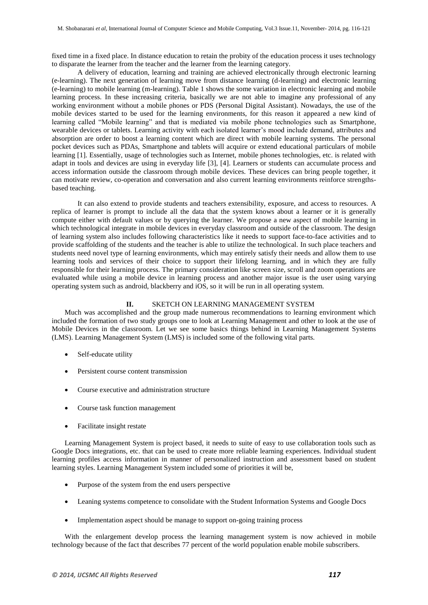fixed time in a fixed place. In distance education to retain the probity of the education process it uses technology to disparate the learner from the teacher and the learner from the learning category.

A delivery of education, learning and training are achieved electronically through electronic learning (e-learning). The next generation of learning move from distance learning (d-learning) and electronic learning (e-learning) to mobile learning (m-learning). Table 1 shows the some variation in electronic learning and mobile learning process. In these increasing criteria, basically we are not able to imagine any professional of any working environment without a mobile phones or PDS (Personal Digital Assistant). Nowadays, the use of the mobile devices started to be used for the learning environments, for this reason it appeared a new kind of learning called "Mobile learning" and that is mediated via mobile phone technologies such as Smartphone, wearable devices or tablets. Learning activity with each isolated learner's mood include demand, attributes and absorption are order to boost a learning content which are direct with mobile learning systems. The personal pocket devices such as PDAs, Smartphone and tablets will acquire or extend educational particulars of mobile learning [1]. Essentially, usage of technologies such as Internet, mobile phones technologies, etc. is related with adapt in tools and devices are using in everyday life [3], [4]. Learners or students can accumulate process and access information outside the classroom through mobile devices. These devices can bring people together, it can motivate review, co-operation and conversation and also current learning environments reinforce strengthsbased teaching.

It can also extend to provide students and teachers extensibility, exposure, and access to resources. A replica of learner is prompt to include all the data that the system knows about a learner or it is generally compute either with default values or by querying the learner. We propose a new aspect of mobile learning in which technological integrate in mobile devices in everyday classroom and outside of the classroom. The design of learning system also includes following characteristics like it needs to support face-to-face activities and to provide scaffolding of the students and the teacher is able to utilize the technological. In such place teachers and students need novel type of learning environments, which may entirely satisfy their needs and allow them to use learning tools and services of their choice to support their lifelong learning, and in which they are fully responsible for their learning process. The primary consideration like screen size, scroll and zoom operations are evaluated while using a mobile device in learning process and another major issue is the user using varying operating system such as android, blackberry and iOS, so it will be run in all operating system.

## **II.** SKETCH ON LEARNING MANAGEMENT SYSTEM

Much was accomplished and the group made numerous recommendations to learning environment which included the formation of two study groups one to look at Learning Management and other to look at the use of Mobile Devices in the classroom. Let we see some basics things behind in Learning Management Systems (LMS). Learning Management System (LMS) is included some of the following vital parts.

- Self-educate utility
- Persistent course content transmission
- Course executive and administration structure
- Course task function management
- Facilitate insight restate

Learning Management System is project based, it needs to suite of easy to use collaboration tools such as Google Docs integrations, etc. that can be used to create more reliable learning experiences. Individual student learning profiles access information in manner of personalized instruction and assessment based on student learning styles. Learning Management System included some of priorities it will be,

- Purpose of the system from the end users perspective
- Leaning systems competence to consolidate with the Student Information Systems and Google Docs
- Implementation aspect should be manage to support on-going training process

With the enlargement develop process the learning management system is now achieved in mobile technology because of the fact that describes 77 percent of the world population enable mobile subscribers.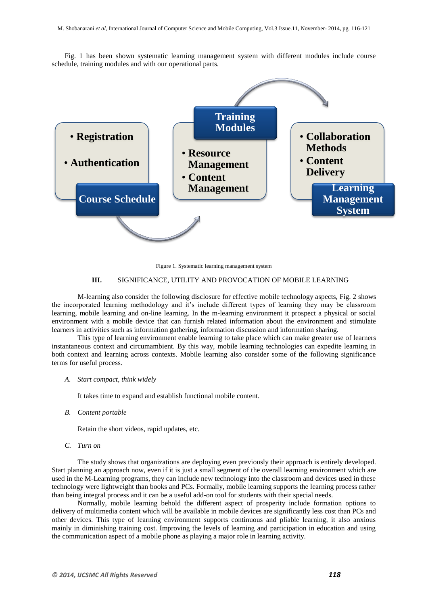Fig. 1 has been shown systematic learning management system with different modules include course schedule, training modules and with our operational parts.



Figure 1. Systematic learning management system

## **III.** SIGNIFICANCE, UTILITY AND PROVOCATION OF MOBILE LEARNING

M-learning also consider the following disclosure for effective mobile technology aspects, Fig. 2 shows the incorporated learning methodology and it's include different types of learning they may be classroom learning, mobile learning and on-line learning. In the m-learning environment it prospect a physical or social environment with a mobile device that can furnish related information about the environment and stimulate learners in activities such as information gathering, information discussion and information sharing.

This type of learning environment enable learning to take place which can make greater use of learners instantaneous context and circumambient. By this way, mobile learning technologies can expedite learning in both context and learning across contexts. Mobile learning also consider some of the following significance terms for useful process.

*A. Start compact, think widely*

It takes time to expand and establish functional mobile content.

*B. Content portable*

Retain the short videos, rapid updates, etc.

*C. Turn on*

The study shows that organizations are deploying even previously their approach is entirely developed. Start planning an approach now, even if it is just a small segment of the overall learning environment which are used in the M-Learning programs, they can include new technology into the classroom and devices used in these technology were lightweight than books and PCs. Formally, mobile learning supports the learning process rather than being integral process and it can be a useful add-on tool for students with their special needs.

Normally, mobile learning behold the different aspect of prosperity include formation options to delivery of multimedia content which will be available in mobile devices are significantly less cost than PCs and other devices. This type of learning environment supports continuous and pliable learning, it also anxious mainly in diminishing training cost. Improving the levels of learning and participation in education and using the communication aspect of a mobile phone as playing a major role in learning activity.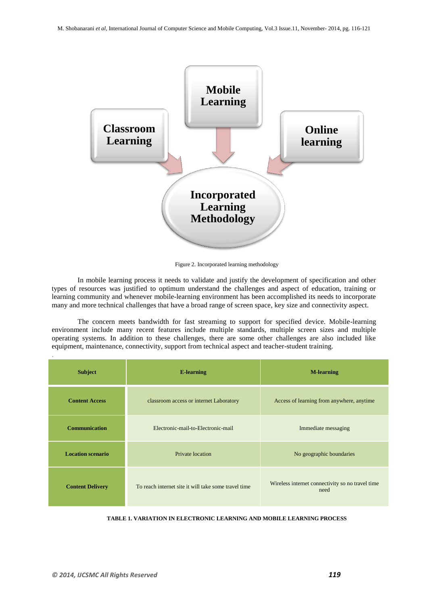

Figure 2. Incorporated learning methodology

In mobile learning process it needs to validate and justify the development of specification and other types of resources was justified to optimum understand the challenges and aspect of education, training or learning community and whenever mobile-learning environment has been accomplished its needs to incorporate many and more technical challenges that have a broad range of screen space, key size and connectivity aspect.

The concern meets bandwidth for fast streaming to support for specified device. Mobile-learning environment include many recent features include multiple standards, multiple screen sizes and multiple operating systems. In addition to these challenges, there are some other challenges are also included like equipment, maintenance, connectivity, support from technical aspect and teacher-student training.

| <b>Subject</b>           | <b>E-learning</b>                                    | <b>M-learning</b>                                        |
|--------------------------|------------------------------------------------------|----------------------------------------------------------|
| <b>Content Access</b>    | classroom access or internet Laboratory              | Access of learning from anywhere, anytime                |
| <b>Communication</b>     | Electronic-mail-to-Electronic-mail                   | Immediate messaging                                      |
| <b>Location scenario</b> | Private location                                     | No geographic boundaries                                 |
| <b>Content Delivery</b>  | To reach internet site it will take some travel time | Wireless internet connectivity so no travel time<br>need |

**TABLE 1. VARIATION IN ELECTRONIC LEARNING AND MOBILE LEARNING PROCESS**

.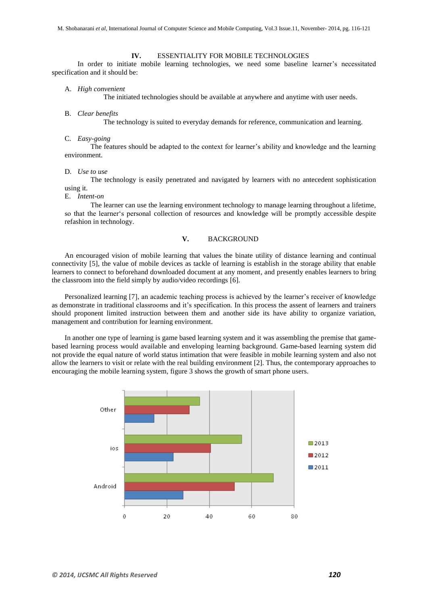#### **IV.** ESSENTIALITY FOR MOBILE TECHNOLOGIES

In order to initiate mobile learning technologies, we need some baseline learner's necessitated specification and it should be:

#### A. *High convenient*

The initiated technologies should be available at anywhere and anytime with user needs.

B. *Clear benefits*

The technology is suited to everyday demands for reference, communication and learning.

C. *Easy-going*

The features should be adapted to the context for learner's ability and knowledge and the learning environment.

#### D. *Use to use*

The technology is easily penetrated and navigated by learners with no antecedent sophistication using it.

E. *Intent-on*

The learner can use the learning environment technology to manage learning throughout a lifetime, so that the learner's personal collection of resources and knowledge will be promptly accessible despite refashion in technology.

## **V.** BACKGROUND

An encouraged vision of mobile learning that values the binate utility of distance learning and continual connectivity [5], the value of mobile devices as tackle of learning is establish in the storage ability that enable learners to connect to beforehand downloaded document at any moment, and presently enables learners to bring the classroom into the field simply by audio/video recordings [6].

Personalized learning [7], an academic teaching process is achieved by the learner's receiver of knowledge as demonstrate in traditional classrooms and it's specification. In this process the assent of learners and trainers should proponent limited instruction between them and another side its have ability to organize variation, management and contribution for learning environment.

In another one type of learning is game based learning system and it was assembling the premise that gamebased learning process would available and enveloping learning background. Game-based learning system did not provide the equal nature of world status intimation that were feasible in mobile learning system and also not allow the learners to visit or relate with the real building environment [2]. Thus, the contemporary approaches to encouraging the mobile learning system, figure 3 shows the growth of smart phone users.